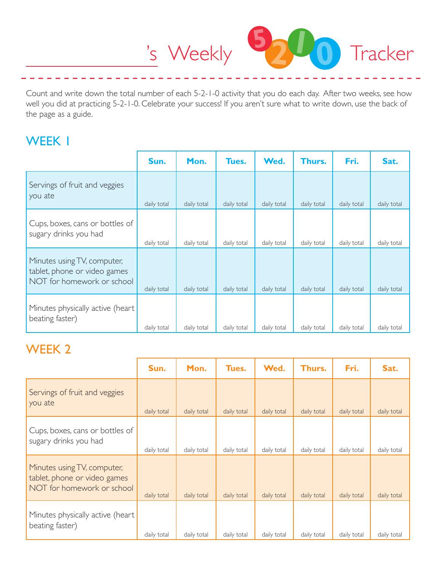

Count and write down the total number of each 5-2-1-0 activity that you do each day. After two weeks, see how well you did at practicing 5-2-1-0. Celebrate your success! If you aren't sure what to write down, use the back of the page as a guide.

### WEEK 1

|                                                                                           | Sun.        | Mon.        | Tues.       | Wed.        | Thurs.      | Fri.        | Sat.        |
|-------------------------------------------------------------------------------------------|-------------|-------------|-------------|-------------|-------------|-------------|-------------|
| Servings of fruit and veggies<br>you ate                                                  | daily total | daily total | daily total | daily total | daily total | daily total | daily total |
| Cups, boxes, cans or bottles of<br>sugary drinks you had                                  | daily total | daily total | daily total | daily total | daily total | daily total | daily total |
| Minutes using TV, computer,<br>tablet, phone or video games<br>NOT for homework or school | daily total | daily total | daily total | daily total | daily total | daily total | daily total |
| Minutes physically active (heart<br>beating faster)                                       | daily total | daily total | daily total | daily total | daily total | daily total | daily total |

### WEEK 2

|                                                                                           | Sun.        | Mon.        | Tues.       | Wed.        | Thurs.      | Fri.        | Sat.        |
|-------------------------------------------------------------------------------------------|-------------|-------------|-------------|-------------|-------------|-------------|-------------|
| Servings of fruit and veggies<br>you ate                                                  | daily total | daily total | daily total | daily total | daily total | daily total | daily total |
| Cups, boxes, cans or bottles of<br>sugary drinks you had                                  | daily total | daily total | daily total | daily total | daily total | daily total | daily total |
| Minutes using TV, computer,<br>tablet, phone or video games<br>NOT for homework or school | daily total | daily total | daily total | daily total | daily total | daily total | daily total |
| Minutes physically active (heart<br>beating faster)                                       | daily total | daily total | daily total | daily total | daily total | daily total | daily total |